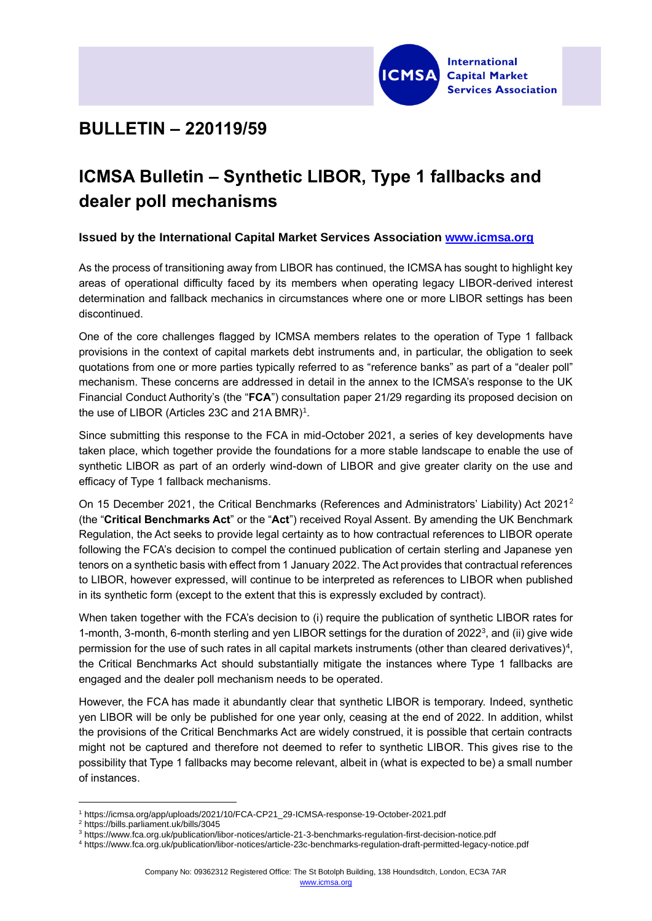

## **BULLETIN – 220119/59**

## **ICMSA Bulletin – Synthetic LIBOR, Type 1 fallbacks and dealer poll mechanisms**

## **Issued by the International Capital Market Services Association [www.icmsa.org](http://www.icmsa.org/)**

As the process of transitioning away from LIBOR has continued, the ICMSA has sought to highlight key areas of operational difficulty faced by its members when operating legacy LIBOR-derived interest determination and fallback mechanics in circumstances where one or more LIBOR settings has been discontinued.

One of the core challenges flagged by ICMSA members relates to the operation of Type 1 fallback provisions in the context of capital markets debt instruments and, in particular, the obligation to seek quotations from one or more parties typically referred to as "reference banks" as part of a "dealer poll" mechanism. These concerns are addressed in detail in the annex to the ICMSA's response to the UK Financial Conduct Authority's (the "**FCA**") consultation paper 21/29 regarding its proposed decision on the use of LIBOR (Articles 23C and 21A BMR)<sup>1</sup>.

Since submitting this response to the FCA in mid-October 2021, a series of key developments have taken place, which together provide the foundations for a more stable landscape to enable the use of synthetic LIBOR as part of an orderly wind-down of LIBOR and give greater clarity on the use and efficacy of Type 1 fallback mechanisms.

On 15 December 2021, the Critical Benchmarks (References and Administrators' Liability) Act 2021<sup>2</sup> (the "**Critical Benchmarks Act**" or the "**Act**") received Royal Assent. By amending the UK Benchmark Regulation, the Act seeks to provide legal certainty as to how contractual references to LIBOR operate following the FCA's decision to compel the continued publication of certain sterling and Japanese yen tenors on a synthetic basis with effect from 1 January 2022. The Act provides that contractual references to LIBOR, however expressed, will continue to be interpreted as references to LIBOR when published in its synthetic form (except to the extent that this is expressly excluded by contract).

When taken together with the FCA's decision to (i) require the publication of synthetic LIBOR rates for 1-month, 3-month, 6-month sterling and yen LIBOR settings for the duration of 2022<sup>3</sup>, and (ii) give wide permission for the use of such rates in all capital markets instruments (other than cleared derivatives)<sup>4</sup>, the Critical Benchmarks Act should substantially mitigate the instances where Type 1 fallbacks are engaged and the dealer poll mechanism needs to be operated.

However, the FCA has made it abundantly clear that synthetic LIBOR is temporary. Indeed, synthetic yen LIBOR will be only be published for one year only, ceasing at the end of 2022. In addition, whilst the provisions of the Critical Benchmarks Act are widely construed, it is possible that certain contracts might not be captured and therefore not deemed to refer to synthetic LIBOR. This gives rise to the possibility that Type 1 fallbacks may become relevant, albeit in (what is expected to be) a small number of instances.

<sup>1</sup> [https://icmsa.org/app/uploads/2021/10/FCA-CP21\\_29-ICMSA-response-19-October-2021.pdf](https://icmsa.org/app/uploads/2021/10/FCA-CP21_29-ICMSA-response-19-October-2021.pdf)

<sup>2</sup> <https://bills.parliament.uk/bills/3045>

<sup>3</sup> <https://www.fca.org.uk/publication/libor-notices/article-21-3-benchmarks-regulation-first-decision-notice.pdf>

<sup>4</sup> <https://www.fca.org.uk/publication/libor-notices/article-23c-benchmarks-regulation-draft-permitted-legacy-notice.pdf>